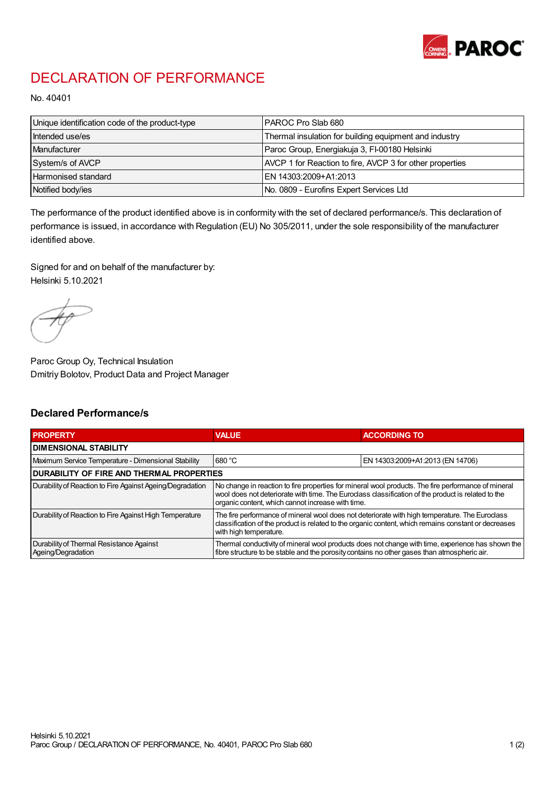

## DECLARATION OF PERFORMANCE

No. 40401

| Unique identification code of the product-type | IPAROC Pro Slab 680                                      |
|------------------------------------------------|----------------------------------------------------------|
| Intended use/es                                | Thermal insulation for building equipment and industry   |
| Manufacturer                                   | Paroc Group, Energiakuja 3, FI-00180 Helsinki            |
| System/s of AVCP                               | AVCP 1 for Reaction to fire, AVCP 3 for other properties |
| Harmonised standard                            | IEN 14303:2009+A1:2013                                   |
| Notified body/ies                              | No. 0809 - Eurofins Expert Services Ltd                  |

The performance of the product identified above is in conformity with the set of declared performance/s. This declaration of performance is issued, in accordance with Regulation (EU) No 305/2011, under the sole responsibility of the manufacturer identified above.

Signed for and on behalf of the manufacturer by: Helsinki 5.10.2021

Paroc Group Oy, Technical Insulation Dmitriy Bolotov, Product Data and Project Manager

## Declared Performance/s

| <b>PROPERTY</b>                                                | <b>VALUE</b>                                                                                                                                                                                                                                                   | <b>ACCORDING TO</b>              |  |
|----------------------------------------------------------------|----------------------------------------------------------------------------------------------------------------------------------------------------------------------------------------------------------------------------------------------------------------|----------------------------------|--|
| <b>DIMENSIONAL STABILITY</b>                                   |                                                                                                                                                                                                                                                                |                                  |  |
| Maximum Service Temperature - Dimensional Stability            | 680 °C                                                                                                                                                                                                                                                         | EN 14303:2009+A1:2013 (EN 14706) |  |
| <b>DURABILITY OF FIRE AND THERMAL PROPERTIES</b>               |                                                                                                                                                                                                                                                                |                                  |  |
| Durability of Reaction to Fire Against Ageing/Degradation      | No change in reaction to fire properties for mineral wool products. The fire performance of mineral<br>wool does not deteriorate with time. The Euroclass classification of the product is related to the<br>organic content, which cannot increase with time. |                                  |  |
| Durability of Reaction to Fire Against High Temperature        | The fire performance of mineral wool does not deteriorate with high temperature. The Euroclass<br>classification of the product is related to the organic content, which remains constant or decreases<br>with high temperature.                               |                                  |  |
| Durability of Thermal Resistance Against<br>Ageing/Degradation | Thermal conductivity of mineral wool products does not change with time, experience has shown the<br>fibre structure to be stable and the porosity contains no other gases than atmospheric air.                                                               |                                  |  |